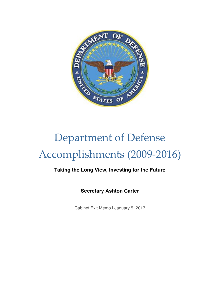

# Department of Defense Accomplishments (2009-2016)

### **Taking the Long View, Investing for the Future**

**Secretary Ashton Carter**

Cabinet Exit Memo | January 5, 2017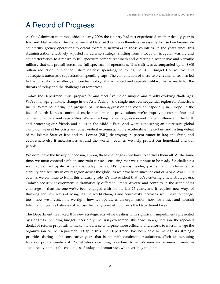# A Record of Progress

As this Administration took office in early 2009, the country had just experienced another deadly year in Iraq and Afghanistan. The Department of Defense (DoD) was therefore necessarily focused on large-scale counterinsurgency operations to defeat extremist networks in those countries. In the years since, this Administration effectively adjusted its defense strategy, shifting from a focus on irregular warfare and counterterrorism to a return to full-spectrum combat readiness and directing a responsive and versatile military that can prevail across the full spectrum of operations. This shift was accompanied by an \$800 billion reduction in planned future defense spending, following the 2011 Budget Control Act and subsequent automatic sequestration spending caps. The combination of these two circumstances has led to the pursuit of a smaller yet more technologically advanced and capable military that is ready for the threats of today and the challenges of tomorrow.

Today, the Department must prepare for and meet five major, unique, and rapidly evolving challenges. We're managing historic change in the Asia-Pacific – the single most consequential region for America's future. We're countering the prospect of Russian aggression and coercion, especially in Europe. In the face of North Korea's continued nuclear and missile provocations, we're improving our nuclear and conventional deterrent capabilities. We're checking Iranian aggression and malign influence in the Gulf, and protecting our friends and allies in the Middle East. And we're conducting an aggressive global campaign against terrorists and other violent extremists, while accelerating the certain and lasting defeat of the Islamic State of Iraq and the Levant (ISIL), destroying its parent tumor in Iraq and Syria, and everywhere else it metastasizes around the world – even as we help protect our homeland and our people.

We don't have the luxury of choosing among these challenges – we have to address them all. At the same time, we must contend with an uncertain future – ensuring that we continue to be ready for challenges we may not anticipate. America is today the world's foremost leader, partner, and underwriter of stability and security in every region across the globe, as we have been since the end of World War II. But even as we continue to fulfill this enduring role, it's also evident that we're entering a new strategic era. Today's security environment is dramatically different – more diverse and complex in the scope of its challenges – than the one we've been engaged with for the last 25 years, and it requires new ways of thinking and new ways of acting. As the world changes and complexity increases, we'll have to change, too – how we invest, how we fight, how we operate as an organization, how we attract and nourish talent, and how we balance risk across the many competing threats the Department faces.

The Department has faced this new strategic era while dealing with significant impediments presented by Congress, including budget uncertainty, the first government shutdown in a generation, the repeated denial of reform proposals to make the defense enterprise more efficient, and efforts to micromanage the organization of the Department. Despite this, the Department has been able to manage its strategic priorities during eight consecutive years that began with continuing resolutions, albeit at increasing levels of programmatic risk. Nonetheless, one thing is certain: America's men and women in uniform stand ready to meet the challenges of today and tomorrow, whatever they might be.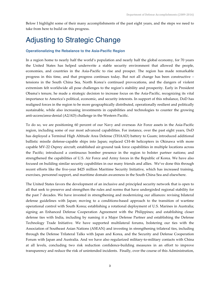Below I highlight some of their many accomplishments of the past eight years, and the steps we need to take from here to build on this progress.

## Adjusting to Strategic Change

#### **Operationalizing the Rebalance to the Asia-Pacific Region**

In a region home to nearly half the world's population and nearly half the global economy, for 70 years the United States has helped underwrite a stable security environment that allowed the people, economies, and countries in the Asia-Pacific to rise and prosper. The region has made remarkable progress in this time, and that progress continues today. But not all change has been constructive – tensions in the South China Sea, North Korea's continued provocations, and the dangers of violent extremism felt worldwide all pose challenges to the region's stability and prosperity. Early in President Obama's tenure, he made a strategic decision to increase focus on the Asia-Pacific, recognizing its vital importance to America's political, economic, and security interests. In support of this rebalance, DoD has realigned forces in the region to be more geographically distributed, operationally resilient and politically sustainable, while also increasing investments in capabilities and technologies to counter the growing anti-access/area-denial (A2/AD) challenge in the Western Pacific.

To do so, we are positioning 60 percent of our Navy and overseas Air Force assets in the Asia-Pacific region, including some of our most advanced capabilities. For instance, over the past eight years, DoD has deployed a Terminal High Altitude Area Defense (THAAD) battery to Guam; introduced additional ballistic missile defense-capable ships into Japan; replaced CH-46 helicopters in Okinawa with more capable MV-22 Osprey aircraft; established air-ground task force capabilities in multiple locations across the Pacific; introduced a continuous bomber presence in the region to bolster partner nations; and strengthened the capabilities of U.S. Air Force and Army forces in the Republic of Korea. We have also focused on building similar security capabilities in our many friends and allies. We've done this through recent efforts like the five-year \$425 million Maritime Security Initiative, which has increased training, exercises, personnel support, and maritime domain awareness in the South China Sea and elsewhere.

The United States favors the development of an inclusive and principled security network that is open to all that seek to preserve and strengthen the rules and norms that have undergirded regional stability for the past 7 decades. We have invested in strengthening and modernizing our alliances: revising bilateral defense guidelines with Japan; moving to a conditions-based approach to the transition of wartime operational control with South Korea; establishing a rotational deployment of U.S. Marines in Australia; signing an Enhanced Defense Cooperation Agreement with the Philippines; and establishing closer defense ties with India, including by naming it a Major Defense Partner and establishing the Defense Technology Trade Initiative. We have supported multilateral forums, bolstering our ties with the Association of Southeast Asian Nations (ASEAN) and investing in strengthening trilateral ties, including through the Defense Trilateral Talks with Japan and Korea, and the Security and Defense Cooperation Forum with Japan and Australia. And we have also regularized military-to-military contacts with China at all levels, concluding two risk reduction confidence-building measures in an effort to improve transparency and reduce the risk of unintended incidents. Finally, over the course of this Administration,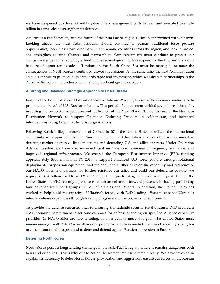we have deepened our level of military-to-military engagement with Taiwan and executed over \$14 billion in arms sales to strengthen its defenses.

America is a Pacific nation, and the future of the Asia-Pacific region is closely intertwined with our own. Looking ahead, the next Administration should continue to pursue additional force posture opportunities, forge closer partnerships with and among countries across the region, and look to protect and strengthen existing alliances and partnerships. Our investments must continue to protect our competitive edge in the region by extending the technological military superiority the U.S. and the world have relied upon for decades. Tensions in the South China Sea must be managed, as must the consequences of North Korea's continued provocative actions. At the same time, the next Administration should continue to promote high-standards trade and investment, which will deepen partnerships in the Asia-Pacific region and underscore our strategic advantage in the region.

#### **A Strong and Balanced Strategic Approach to Deter Russia**

Early in this Administration, DoD established a Defense Working Group with Russian counterparts to promote the "reset" of U.S.-Russian relations. This period of engagement yielded several breakthroughs, including the successful negotiation and ratification of the New START Treaty, the use of the Northern Distribution Network to support Operation Enduring Freedom in Afghanistan, and increased information-sharing to counter terrorist organizations.

Following Russia's illegal annexation of Crimea in 2014, the United States mobilized the international community in support of Ukraine. Since that point, DoD has taken a series of measures aimed at deterring further aggressive Russian actions and defending U.S. and allied interests. Under Operation Atlantic Resolve, we have also increased joint multi-national exercises in frequency and scale, and improved regional infrastructure. We created the European Reassurance Initiative (ERI), funding approximately \$800 million in FY 2016 to support enhanced U.S. force posture through rotational deployments, preposition equipment and materiel, and further develop the capability and resilience of our NATO allies and partners. To further reinforce our allies and build our deterrence posture, we requested \$3.4 billion for ERI in FY 2017, more than quadrupling our prior year request. Led by the United States, NATO recently agreed to establish an enhanced forward presence, including positioning four battalion-sized battlegroups in the Baltic states and Poland. In addition, the United States has worked to help build the capacity of Ukraine's forces, with DoD leading efforts to enhance Ukraine's internal defense capabilities through training programs and the provision of equipment.

To provide the defense resources vital to ensuring transatlantic security for the future, DoD secured a NATO Summit commitment to set concrete goals for defense spending on specified Alliance capability priorities; 24 NATO allies are now meeting, or on a path to meet, this goal. The United States must remain engaged with NATO – an alliance of principled and like-minded members backed by strength – to ensure continued progress and to deter and defend against Russian aggression in Europe.

#### **Deterring North Korea**

North Korea poses a longstanding challenge in the Asia-Pacific region, where it remains dangerous both to us and our allies – that's why our forces on the Korean Peninsula remain ready. We have invested in capabilities necessary to deter North Korean provocation and aggression, ensure our forces on the Korean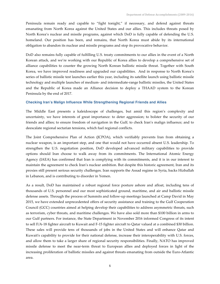Peninsula remain ready and capable to "fight tonight," if necessary, and defend against threats emanating from North Korea against the United States and our allies. This includes threats posed by North Korea's nuclear and missile programs, against which DoD is fully capable of defending the U.S. homeland. Our position has been, and remains, that North Korea must abide by its international obligation to abandon its nuclear and missile programs and stop its provocative behavior.

DoD also remains fully capable of fulfilling U.S. treaty commitments to our allies in the event of a North Korean attack, and we're working with our Republic of Korea allies to develop a comprehensive set of alliance capabilities to counter the growing North Korean ballistic missile threat. Together with South Korea, we have improved readiness and upgraded our capabilities. And in response to North Korea's series of ballistic missile test launches earlier this year, including its satellite launch using ballistic missile technology and multiple launches of medium- and intermediate-range ballistic missiles, the United States and the Republic of Korea made an Alliance decision to deploy a THAAD system to the Korean Peninsula by the end of 2017.

#### **Checking Iran's Malign Influence While Strengthening Regional Friends and Allies**

The Middle East presents a kaleidoscope of challenges, but amid this region's complexity and uncertainty, we have interests of great importance: to deter aggression; to bolster the security of our friends and allies; to ensure freedom of navigation in the Gulf; to check Iran's malign influence; and to deescalate regional sectarian tensions, which fuel regional conflicts.

The Joint Comprehensive Plan of Action (JCPOA), which verifiably prevents Iran from obtaining a nuclear weapon, is an important step, and one that would not have occurred absent U.S. leadership. To strengthen the U.S. negotiation position, DoD developed advanced military capabilities to provide options should Iran choose to walk away from its commitments. The International Atomic Energy Agency (IAEA) has confirmed that Iran is complying with its commitments, and it is in our interest to maintain the agreement to check Iran's nuclear ambition. But despite this historic agreement, Iran and its proxies still present serious security challenges. Iran supports the Assad regime in Syria, backs Hizballah in Lebanon, and is contributing to disorder in Yemen.

As a result, DoD has maintained a robust regional force posture ashore and afloat, including tens of thousands of U.S. personnel and our most sophisticated ground, maritime, and air and ballistic missile defense assets. Through the process of Summits and follow-up meetings launched at Camp David in May 2015, we have extended unprecedented offers of security assistance and training to the Gulf Cooperation Council (GCC) countries aimed at helping develop their capabilities to address asymmetric threats, such as terrorism, cyber threats, and maritime challenges. We have also sold more than \$100 billion in arms to our Gulf partners. For instance, the State Department in November 2016 informed Congress of its intent to sell F/A-18 fighter aircraft to Kuwait and F-15 fighter aircraft to Qatar valued at a combined \$30 billion. These sales will provide tens of thousands of jobs in the United States and will enhance Qatar and Kuwait's capability to provide for their national defense, increase their interoperability with U.S. forces, and allow them to take a larger share of regional security responsibilities. Finally, NATO has improved missile defense to meet the near-term threat to European allies and deployed forces in light of the increasing proliferation of ballistic missiles and against threats emanating from outside the Euro-Atlantic area.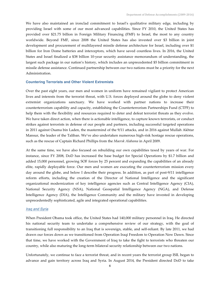We have also maintained an ironclad commitment to Israel's qualitative military edge, including by providing Israel with some of our most advanced capabilities. Since FY 2010, the United States has provided over \$21.75 billion in Foreign Military Financing (FMF) to Israel, the most to any country worldwide. Beyond FMF, since 2008 the United States has also invested over \$3 billion in joint development and procurement of multilayered missile defense architecture for Israel, including over \$1 billion for Iron Dome batteries and interceptors, which have saved countless lives. In 2016, the United States and Israel finalized a \$38 billion 10-year security assistance memorandum of understanding, the largest such package in our nation's history, which includes an unprecedented \$5 billion commitment in missile defense assistance. Continued partnership between our two nations must be a priority for the next Administration.

#### **Countering Terrorists and Other Violent Extremists**

Over the past eight years, our men and women in uniform have remained vigilant to protect American lives and interests from the terrorist threat, with U.S. forces deployed around the globe to deny violent extremist organizations sanctuary. We have worked with partner nations to increase their counterterrorism capability and capacity, establishing the Counterterrorism Partnerships Fund (CTPF) to help them with the flexibility and resources required to deter and defeat terrorist threats as they evolve. We have taken direct action, when there is actionable intelligence, to capture known terrorists, or conduct strikes against terrorists in defense of our people and partners, including successful targeted operations in 2011 against Osama bin Laden, the mastermind of the 9/11 attacks, and in 2016 against Mullah Akhtar Mansur, the leader of the Taliban. We've also undertaken numerous high-risk hostage rescue operations, such as the rescue of Captain Richard Phillips from the *Maersk Alabama* in April 2009.

At the same time, we have also focused on rebuilding our own capabilities taxed by years of war. For instance, since FY 2008, DoD has increased the base budget for Special Operations by \$1.7 billion and added 15,000 personnel, growing SOF forces by 25 percent and expanding the capabilities of an already elite, rapidly deployable force. Our men and women are executing the counterterrorism mission every day around the globe, and below I describe their progress. In addition, as part of post-9/11 intelligence reform efforts, including the creation of the Director of National Intelligence and the significant organizational modernization of key intelligence agencies such as Central Intelligence Agency (CIA), National Security Agency (NSA), National Geospatial Intelligence Agency (NGA), and Defense Intelligence Agency (DIA), the Intelligence Community and the military have invested in developing unprecedentedly sophisticated, agile and integrated operational capabilities.

#### *Iraq and Syria*

When President Obama took office, the United States had 140,000 military personnel in Iraq. He directed his national security team to undertake a comprehensive review of our strategy, with the goal of transitioning full responsibility to an Iraq that is sovereign, stable, and self-reliant. By late 2011, we had drawn our forces down as we transitioned from Operation Iraqi Freedom to Operation New Dawn. Since that time, we have worked with the Government of Iraq to take the fight to terrorists who threaten our country, while also maturing the long-term bilateral security relationship between our two nations.

Unfortunately, we continue to face a terrorist threat, and in recent years the terrorist group ISIL began to advance and gain territory across Iraq and Syria. In August 2014, the President directed DoD to take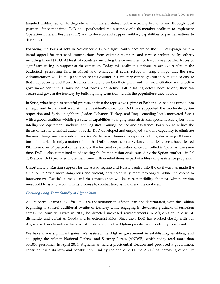targeted military action to degrade and ultimately defeat ISIL – working by, with and through local partners. Since that time, DoD has spearheaded the assembly of a 68-member coalition to implement Operation Inherent Resolve (OIR) and to develop and support military capabilities of partner nations to defeat ISIL.

Following the Paris attacks in November 2015, we significantly accelerated the OIR campaign, with a broad appeal for increased contributions from existing members and new contributions by others, including from NATO. At least 34 countries, including the Government of Iraq, have provided forces or significant basing in support of the campaign. Today this coalition continues to achieve results on the battlefield, pressuring ISIL in Mosul and wherever it seeks refuge in Iraq. I hope that the next Administration will keep up the pace of this counter-ISIL military campaign, but they must also ensure that Iraqi Security and Kurdish forces are able to sustain their gains and that reconciliation and effective governance continue. It must be local forces who deliver ISIL a lasting defeat, because only they can secure and govern the territory by building long-term trust within the populations they liberate.

In Syria, what began as peaceful protests against the repressive regime of Bashar al-Assad has turned into a tragic and brutal civil war. At the President's direction, DoD has supported the moderate Syrian opposition and Syria's neighbors, Jordan, Lebanon, Turkey, and Iraq – enabling local, motivated forces with a global coalition wielding a suite of capabilities – ranging from airstrikes, special forces, cyber tools, intelligence, equipment, mobility and logistics, training, advice and assistance. Early on, to reduce the threat of further chemical attack in Syria, DoD developed and employed a mobile capability to eliminate the most dangerous materials within Syria's declared chemical weapons stockpile, destroying 600 metric tons of materials in only a matter of months. DoD-supported local Syrian counter-ISIL forces have cleared ISIL from over 30 percent of the territory the terrorist organization once controlled in Syria. At the same time, DoD is also committed to addressing the humanitarian crisis caused by the Syrian conflict – in FY 2015 alone, DoD provided more than three million relief items as part of a lifesaving assistance program.

Unfortunately, Russian support for the Assad regime and Russia's entry into the civil war has made the situation in Syria more dangerous and violent, and potentially more prolonged. While the choice to intervene was Russia's to make, and the consequences will be its responsibility, the next Administration must hold Russia to account in its promise to combat terrorism and end the civil war.

#### *Ensuring Long-Term Stability in Afghanistan*

As President Obama took office in 2009, the situation in Afghanistan had deteriorated, with the Taliban beginning to control additional swaths of territory while engaging in devastating attacks of terrorism across the country. Twice in 2009, he directed increased reinforcements to Afghanistan to disrupt, dismantle, and defeat Al Qaeda and its extremist allies. Since then, DoD has worked closely with our Afghan partners to reduce the terrorist threat and give the Afghan people the opportunity to succeed.

We have made significant gains. We assisted the Afghan government in establishing, enabling, and equipping the Afghan National Defense and Security Forces (ANDSF), which today total more than 350,000 personnel. In April 2014, Afghanistan held a presidential election and produced a government consistent with its laws and constitution. And by the end of 2014, the ANDSF's increasing capability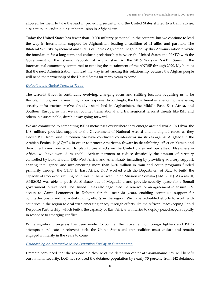allowed for them to take the lead in providing security, and the United States shifted to a train, advise, assist mission, ending our combat mission in Afghanistan.

Today the United States has fewer than 10,000 military personnel in the country, but we continue to lead the way in international support for Afghanistan, leading a coalition of 41 allies and partners. The Bilateral Security Agreement and Status of Forces Agreement negotiated by this Administration provide the foundation for a long-term and enduring relationship between the United States and NATO with the Government of the Islamic Republic of Afghanistan. At the 2016 Warsaw NATO Summit, the international community committed to funding the sustainment of the ANDSF through 2020. My hope is that the next Administration will lead the way in advancing this relationship, because the Afghan people will need the partnership of the United States for many years to come.

#### *Defeating the Global Terrorist Threat*

The terrorist threat is continually evolving, changing focus and shifting location, requiring us to be flexible, nimble, and far-reaching in our response. Accordingly, the Department is leveraging the existing security infrastructure we've already established in Afghanistan, the Middle East, East Africa, and Southern Europe, so that we can counter transnational and transregional terrorist threats like ISIL and others in a sustainable, durable way going forward.

We are committed to combatting ISIL's metastases everywhere they emerge around world. In Libya, the U.S. military provided support to the Government of National Accord and its aligned forces as they ejected ISIL from Sirte. In Yemen, we have conducted counterterrorism strikes against Al Qaeda in the Arabian Peninsula (AQAP), in order to protect Americans, thwart its destabilizing effect on Yemen and deny it a haven from which to plan future attacks on the United States and our allies. Elsewhere in Africa, we have worked to enable African partners to reduce drastically the amount of territory controlled by Boko Haram, ISIL-West Africa, and Al Shabaab, including by providing advisory support, sharing intelligence, and implementing more than \$460 million in train and equip programs funded primarily through the CTPF. In East Africa, DoD worked with the Department of State to build the capacity of troop-contributing countries in the African Union Mission in Somalia (AMISOM). As a result, AMISOM was able to push Al Shabaab out of Mogadishu and provide security space for a Somali government to take hold. The United States also negotiated the renewal of an agreement to ensure U.S. access to Camp Lemonnier in Djibouti for the next 30 years, enabling continued support for counterterrorism and capacity-building efforts in the region. We have redoubled efforts to work with countries in the region to deal with emerging crises, through efforts like the African Peacekeeping Rapid Response Partnership, which builds the capacity of East African militaries to deploy peacekeepers rapidly in response to emerging conflict.

While significant progress has been made, to counter the movement of foreign fighters and ISIL's attempts to relocate or reinvent itself, the United States and our coalition must endure and remain engaged militarily in the years to come.

#### *Establishing an Alternative to the Detention Facility at Guantanamo*

I remain convinced that the responsible closure of the detention center at Guantanamo Bay will benefit our national security. DoD has reduced the detainee population by nearly 75 percent, from 242 detainees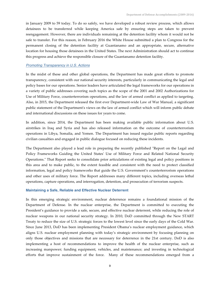in January 2009 to 59 today. To do so safely, we have developed a robust review process, which allows detainees to be transferred while keeping America safe by ensuring steps are taken to prevent reengagement. However, there are individuals remaining at the detention facility whom it would not be safe to transfer. For this reason, in February 2016 the White House submitted a plan to Congress for the permanent closing of the detention facility at Guantanamo and an appropriate, secure, alternative location for housing those detainees in the United States. The next Administration should act to continue this progress and achieve the responsible closure of the Guantanamo detention facility.

#### *Promoting Transparency in U.S. Actions*

In the midst of these and other global operations, the Department has made great efforts to promote transparency, consistent with our national security interests, particularly in communicating the legal and policy bases for our operations. Senior leaders have articulated the legal frameworks for our operations in a variety of public addresses covering such topics as the scope of the 2001 and 2002 Authorizations for Use of Military Force, counterterrorism operations, and the law of armed conflict as applied to targeting. Also, in 2015, the Department released the first ever Department-wide Law of War Manual, a significant public statement of the Department's views on the law of armed conflict which will inform public debate and international discussions on these issues for years to come.

In addition, since 2014, the Department has been making available public information about U.S. airstrikes in Iraq and Syria and has also released information on the outcome of counterterrorism operations in Libya, Somalia, and Yemen. The Department has issued regular public reports regarding civilian casualties and engaged in public dialogue focused on reducing these incidents.

The Department also played a lead role in preparing the recently published "Report on the Legal and Policy Frameworks Guiding the United States' Use of Military Force and Related National Security Operations." That Report seeks to consolidate prior articulations of existing legal and policy positions in this area and to make public, to the extent feasible and consistent with the need to protect classified information, legal and policy frameworks that guide the U.S. Government's counterterrorism operations and other uses of military force. The Report addresses many different topics, including overseas lethal operations, capture operations, and interrogation, detention, and prosecution of terrorism suspects.

#### **Maintaining a Safe, Reliable and Effective Nuclear Deterrent**

In this emerging strategic environment, nuclear deterrence remains a foundational mission of the Department of Defense. In the nuclear enterprise, the Department is committed to executing the President's guidance to provide a safe, secure, and effective nuclear deterrent, while reducing the role of nuclear weapons in our national security strategy. In 2010, DoD committed through the New START Treaty to reduce the size of U.S. strategic forces to the lowest level since the early days of the Cold War. Since June 2013, DoD has been implementing President Obama's nuclear employment guidance, which aligns U.S. nuclear employment planning with today's strategic environment by focusing planning on only those objectives and missions that are necessary for deterrence in the 21st century. DoD is also implementing a host of recommendations to improve the health of the nuclear enterprise, such as increasing manpower; funding equipment, vehicles, and maintenance; and investing in technological efforts that improve sustainment of the force. Many of these recommendations emerged from a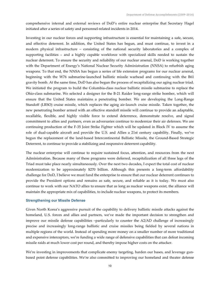comprehensive internal and external reviews of DoD's entire nuclear enterprise that Secretary Hagel initiated after a series of safety and personnel-related incidents in 2014.

Investing in our nuclear forces and supporting infrastructure is essential for maintaining a safe, secure, and effective deterrent. In addition, the United States has begun, and must continue, to invest in a modern physical infrastructure – consisting of the national security laboratories and a complex of supporting facilities – and a highly capable workforce with specialized skills needed to sustain the nuclear deterrent. To ensure the security and reliability of our nuclear arsenal, DoD is working together with the Department of Energy's National Nuclear Security Administration (NNSA) to refurbish aging weapons. To that end, the NNSA has begun a series of life extension programs for our nuclear arsenal, beginning with the W76 submarine-launched ballistic missile warhead and continuing with the B61 gravity bomb. At the same time, DoD has also begun the process of recapitalizing our aging nuclear triad. We initiated the program to build the Columbia-class nuclear ballistic missile submarine to replace the Ohio-class submarine. We selected a designer for the B-21 Raider long-range strike bomber, which will ensure that the United States maintains a penetrating bomber. We are developing the Long-Range Standoff (LRSO) cruise missile, which replaces the aging air-launch cruise missile. Taken together, the new penetrating bomber armed with an effective standoff missile will continue to provide an adaptable, recallable, flexible, and highly visible force to extend deterrence, demonstrate resolve, and signal commitment to allies and partners, even as adversaries continue to modernize their air defenses. We are continuing production of the F-35 Joint Strike Fighter which will be updated in Block IV to assume the role of dual-capable aircraft and provide the U.S. and Allies a 21st century capability. Finally, we've begun the replacement of the land-based Intercontinental Ballistic Missile, the Ground-Based Strategic Deterrent, to continue to provide a stabilizing and responsive deterrent capability.

The nuclear enterprise will continue to require sustained focus, attention, and resources from the next Administration. Because many of these programs were deferred, recapitalization of all three legs of the Triad must take place nearly simultaneously. Over the next two decades, I expect the total cost of nuclear modernization to be approximately \$270 billion. Although this presents a long-term affordability challenge for DoD, I believe we must fund the enterprise to ensure that our nuclear deterrent continues to provide the President options and remains as safe, secure, and reliable as it is today. We must also continue to work with our NATO allies to ensure that as long as nuclear weapons exist, the alliance will maintain the appropriate mix of capabilities, to include nuclear weapons, to protect its members.

#### **Strengthening our Missile Defense**

Given North Korea's aggressive pursuit of the capability to delivery ballistic missile attacks against the homeland, U.S. forces and allies and partners, we've made the important decision to strengthen and improve our missile defense capabilities –particularly to counter the A2/AD challenge of increasingly precise and increasingly long-range ballistic and cruise missiles being fielded by several nations in multiple regions of the world. Instead of spending more money on a smaller number of more traditional and expensive interceptors, we're funding a wide range of defensive capabilities that can defeat incoming missile raids at much lower cost per round, and thereby impose higher costs on the attacker.

We're investing in improvements that complicate enemy targeting, harden our bases, and leverage gunbased point defense capabilities. We're also committed to improving our homeland and theater defense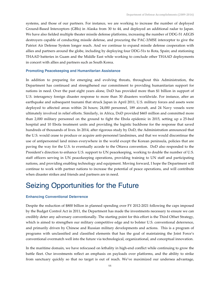systems, and those of our partners. For instance, we are working to increase the number of deployed Ground-Based Interceptors (GBIs) in Alaska from 30 to 44, and deployed an additional radar to Japan. We have also fielded multiple theater missile defense platforms, increasing the number of DDG-51 AEGIS destroyers capable of conducting missile defense, and procuring the PAC-3/MSE interceptor to give the Patriot Air Defense System longer reach. And we continue to expand missile defense cooperation with allies and partners around the globe, including by deploying four DDG-51s to Rota, Spain; and stationing THAAD batteries in Guam and the Middle East while working to conclude other THAAD deployments in concert with allies and partners such as South Korea.

#### **Promoting Peacekeeping and Humanitarian Assistance**

In addition to preparing for emerging and evolving threats, throughout this Administration, the Department has continued and strengthened our commitment to providing humanitarian support for nations in need. Over the past eight years alone, DoD has provided more than \$1 billion in support of U.S. interagency foreign disaster response to more than 30 disasters worldwide. For instance, after an earthquake and subsequent tsunami that struck Japan in April 2011, U.S. military forces and assets were deployed to affected areas within 24 hours; 24,000 personnel, 189 aircraft, and 24 Navy vessels were ultimately involved in relief efforts. Similarly, in Africa, DoD provided \$465 million and committed more than 2,000 military personnel on the ground to fight the Ebola epidemic in 2015, setting up a 25-bed hospital and 10 Ebola treatment units and providing the logistic backbone for the response that saved hundreds of thousands of lives. In 2014, after rigorous study by DoD, the Administration announced that the U.S. would cease to produce or acquire anti-personnel landmines, and that we would discontinue the use of antipersonnel land mines everywhere in the world except the Korean peninsula, policies that are paving the way for the U.S. to eventually accede to the Ottawa convention. DoD also responded to the President's direction to enhance U.S. support to UN peacekeeping, working to double the number of U.S. staff officers serving in UN peacekeeping operations, providing training to UN staff and participating nations, and providing enabling technology and equipment. Moving forward, I hope the Department will continue to work with partner nations to increase the potential of peace operations, and will contribute when disaster strikes and friends and partners are in need.

### Seizing Opportunities for the Future

#### **Enhancing Conventional Deterrence**

Despite the reduction of \$800 billion in planned spending over FY 2012-2021 following the caps imposed by the Budget Control Act in 2011, the Department has made the investments necessary to ensure we can credibly deter any adversary conventionally. The starting point for this effort is the Third Offset Strategy, which is aimed to strengthen our military competitive edge and to bolster U.S. conventional deterrence, and primarily driven by Chinese and Russian military developments and actions. This is a program of programs with unclassified and classified elements that has the goal of maintaining the Joint Force's conventional overmatch well into the future via technological, organizational, and conceptual innovation.

In the maritime domain, we have refocused on lethality in high-end conflict while continuing to grow the battle fleet. Our investments reflect an emphasis on payloads over platforms, and the ability to strike from sanctuary quickly so that no target is out of reach. We've maximized our undersea advantage,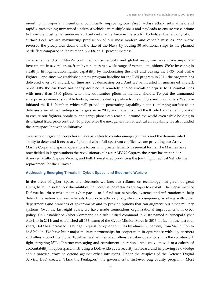investing in important munitions, continually improving our Virginia-class attack submarines, and rapidly prototyping unmanned undersea vehicles in multiple sizes and payloads to ensure we continue to have the most lethal undersea and anti-submarine force in the world. To bolster the lethality of our surface fleet, we are maximizing production of our most modern and capable missiles, and we've reversed the precipitous decline in the size of the Navy by adding 30 additional ships to the planned battle fleet compared to the number in 2008, an 11 percent increase.

To ensure the U.S. military's continued air superiority and global reach, we have made important investments in several areas, from hypersonics to a wide range of versatile munitions. We're investing in stealthy, fifth-generation fighter capability by modernizing the F-22 and buying the F-35 Joint Strike Fighter -- and since we established a new program baseline for the F-35 program in 2011, the program has delivered over 175 aircraft, on time and at decreasing cost. And we've invested in unmanned aircraft. Since 2008, the Air Force has nearly doubled its remotely piloted aircraft enterprise to 60 combat lines with more than 1300 pilots, who now outnumber pilots in manned aircraft. To put the unmanned enterprise on more sustainable footing, we've created a pipeline for new pilots and maintainers. We have initiated the B-21 bomber, which will provide a penetrating capability against emerging surface to air defenses even while meeting cost targets set in 2009, and have procured the KC-46A air refueling tanker to ensure our fighters, bombers, and cargo planes can reach all around the world even while holding to its original fixed price contract. To prepare for the next generation of tactical air capability we also funded the Aerospace Innovation Initiative.

To ensure our ground forces have the capabilities to counter emerging threats and the demonstrated ability to deter and if necessary fight and win a full-spectrum conflict, we are providing our Army, Marine Corps, and special operations forces with greater lethality in several forms. The Marines have now fielded in large numbers the revolutionary tilt-rotor MV-22 Osprey, the Army has initiated its Armored Multi-Purpose Vehicle, and both have started producing the Joint Light Tactical Vehicle, the replacement for the Humvee.

#### **Addressing Emerging Threats in Cyber, Space, and Electronic Warfare**

In the areas of cyber, space, and electronic warfare, our reliance on technology has given us great strengths, but also led to vulnerabilities that potential adversaries are eager to exploit. The Department of Defense has three missions in cyberspace – to defend our networks, systems, and information; to help defend the nation and our interests from cyberattacks of significant consequence, working with other departments and branches of government; and to provide options that can augment our other military systems. Over the last eight years, we have made tremendous organizational improvements in cyber policy. DoD established Cyber Command as a sub-unified command in 2010; named a Principal Cyber Advisor in 2014; and established all 133 teams of the Cyber Mission Force in 2016. In fact, in the last four years, DoD has increased its budget request for cyber activities by almost 50 percent, from \$4.6 billion to \$6.8 billion. We have built major military partnerships for cooperation in cyberspace with key partners and allies around the globe. Together, we've integrated offensive cyber operations into the counter-ISIL fight, targeting ISIL's Internet messaging and recruitment operations. And we've moved to a culture of accountability in cyberspace, instituting a DoD-wide cybersecurity scorecard and improving knowledge about practical ways to defend against cyber intrusions. Under the auspices of the Defense Digital Service, DoD created "Hack the Pentagon," the government's first-ever bug bounty program. Most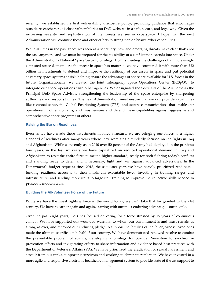recently, we established its first vulnerability disclosure policy, providing guidance that encourages outside researchers to disclose vulnerabilities on DoD websites in a safe, secure, and legal way. Given the increasing severity and sophistication of the threats we see in cyberspace, I hope that the next Administration will continue these and other efforts to strengthen defensive cyber capabilities.

While at times in the past space was seen as a sanctuary, new and emerging threats make clear that's not the case anymore, and we must be prepared for the possibility of a conflict that extends into space. Under the Administration's National Space Security Strategy, DoD is meeting the challenges of an increasingly contested space domain. As the threat in space has matured, we have countered it with more than \$22 billion in investments to defend and improve the resiliency of our assets in space and put potential adversary space systems at risk, helping ensure the advantages of space are available for U.S. forces in the future. Organizationally, we created the Joint Interagency Space Operations Center (JICSpOC) to integrate our space operations with other agencies. We designated the Secretary of the Air Force as the Principal DoD Space Advisor, strengthening the leadership of the space enterprise by sharpening authorities and responsibilities. The next Administration must ensure that we can provide capabilities like reconnaissance, the Global Positioning System (GPS), and secure communications that enable our operations in other domains, and must ensure and defend these capabilities against aggressive and comprehensive space programs of others.

#### **Raising the Bar on Readiness**

Even as we have made these investments in force structure, we are bringing our forces to a higher standard of readiness after many years where they were single-mindedly focused on the fights in Iraq and Afghanistan. While as recently as in 2010 over 50 percent of the Army had deployed in the previous four years, in the last six years we have capitalized on reduced operational demand in Iraq and Afghanistan to reset the entire force to meet a higher standard, ready for both fighting today's conflicts and standing ready to deter, and if necessary, fight and win against advanced adversaries. In the Department's budget requests since 2013, the sequester year, we have heavily prioritized readiness – funding readiness accounts to their maximum executable level, investing in training ranges and infrastructure, and sending more units to large-unit training to improve the collective skills needed to prosecute modern wars.

#### **Building the All-Volunteer Force of the Future**

While we have the finest fighting force in the world today, we can't take that for granted in the 21st century. We have to earn it again and again, starting with our most enduring advantage – our people.

Over the past eight years, DoD has focused on caring for a force stressed by 15 years of continuous combat. We have supported our wounded warriors, to whom our commitment is and must remain as strong as ever, and renewed our enduring pledge to support the families of the fallen, whose loved ones made the ultimate sacrifice on behalf of our country. We have demonstrated renewed resolve to combat the preventable problem of suicide, developing a Strategy for Suicide Prevention to synchronize prevention efforts and invigorating efforts to share information and evidence-based best practices with the Department of Veterans Affairs (VA). We have prioritized the eradication of sexual harassment and assault from our ranks, supporting survivors and working to eliminate retaliation. We have invested in a more agile and responsive electronic healthcare management system to provide state of the art support to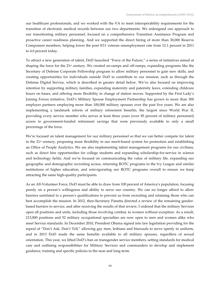our healthcare professionals, and we worked with the VA to meet interoperability requirements for the transition of electronic medical records between our two departments. We redesigned our approach to our transitioning military personnel, focused on a comprehensive Transition Assistance Program and proactive career readiness planning. And we supported the direct hiring of more than 30,000 Reserve Component members, helping lower the post 9/11 veteran unemployment rate from 12.1 percent in 2011 to 4.0 percent today.

To attract a new generation of talent, DoD launched "Force of the Future," a series of initiatives aimed at shaping the force for the 21st century. We created on-ramps and off-ramps, expanding programs like the Secretary of Defense Corporate Fellowship program to allow military personnel to gain new skills, and creating opportunities for individuals outside DoD to contribute to our mission, such as through the Defense Digital Service, which is described in greater detail below. We've also focused on improving retention by supporting military families, expanding maternity and paternity leave, extending childcare hours on bases, and offering more flexibility in change of station moves. Supported by the First Lady's Joining Forces initiative, DoD's Military Spouse Employment Partnership has grown to more than 300 employer partners employing more than 100,000 military spouses over the past five years. We are also implementing a landmark reform of military retirement benefits, the largest since World War II, providing every service member who serves at least three years (over 85 percent of military personnel) access to government-funded retirement savings that were previously available to only a small percentage of the force.

We're focused on talent management for our military personnel so that we can better compete for talent in the 21<sup>st</sup> century, proposing more flexibility in our merit-based system for promotion and establishing an Office of People Analytics. We are also implementing talent management programs for our civilians, such as direct hire opportunities for college students and expanding scholarship-for-service in science and technology fields. And we're focused on communicating the value of military life, expanding our geographic and demographic recruiting access, returning ROTC programs to the Ivy League and similar institutions of higher education, and reinvigorating our ROTC programs overall to ensure we keep attracting the same high-quality participants.

As an All-Volunteer Force, DoD must be able to draw from 100 percent of America's population, focusing purely on a person's willingness and ability to serve our country. We can no longer afford to allow barriers unrelated to a person's qualifications to prevent us from recruiting and retaining those who can best accomplish the mission. In 2012, then-Secretary Panetta directed a review of the remaining genderbased barriers to service, and after receiving the results of that review, I ordered that the military Services open all positions and units, including those involving combat, to women without exception. As a result, 213,000 positions and 52 military occupational specialties are now open to men and women alike who meet Service standards. In December 2010, President Obama signed into law legislation providing for the repeal of "Don't Ask, Don't Tell," allowing gay men, lesbians and bisexuals to serve openly in uniform, and in 2013 DoD made the same benefits available to all military spouses, regardless of sexual orientation. This year, we lifted DoD's ban on transgender service members, setting standards for medical care and outlining responsibilities for Military Services and commanders to develop and implement guidance, training and specific policies in the near and long-term.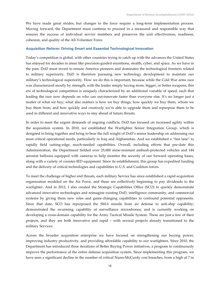We have made great strides, but changes to the force require a long-term implementation process. Moving forward, the Department must continue to proceed in a measured and responsible way that ensures the success of individual service members and preserves the unit effectiveness, readiness, cohesion, and quality of the All-Volunteer Force.

#### **Acquisition Reform: Driving Smart and Essential Technological Innovation**

Today's competition is global, with other countries trying to catch up with the advances the United States has enjoyed for decades in areas like precision-guided munitions, stealth, cyber, and space. As we have in the past, DoD must invest to ensure America pioneers and dominates the technological frontiers related to military superiority. DoD is therefore pursuing new technology development to maintain our military's technological superiority. How we do this is important, because while the Cold War arms race was characterized mostly by strength, with the leader simply having more, bigger, or better weapons, this era of technological competition is uniquely characterized by an additional variable of speed, such that leading the race now depends on who can out-innovate faster than everyone else. It's no longer just a matter of what we buy; what also matters is how we buy things, how quickly we buy them, whom we buy them from, and how quickly and creatively we're able to upgrade them and repurpose them to be used in different and innovative ways to stay ahead of future threats.

In order to meet the urgent demands of ongoing conflicts, DoD has focused on increased agility within the acquisition system. In 2010, we established the Warfighter Senior Integration Group, which is designed to bring together and bring to bear the full weight of DoD's senior leadership on addressing our most critical operational needs, particularly in Iraq and Afghanistan. And we established a "fast lane" to rapidly field cutting-edge, much-needed capabilities. Overall, including efforts that pre-date this Administration, the Department fielded over 25,000 mine-resistant ambush-protected vehicles and 144 aerostat balloons equipped with cameras to help monitor the security of our forward operating bases, along with a variety of counter-IED equipment. Since its establishment, this group has expedited funding and the delivery of critical technologies and capabilities to U.S. and Coalition forces.

To meet the challenge of higher end threats, each military Service has since established a rapid acquisition organization modeled on the Air Force, and these are collectively beginning to pay dividends to the warfighter. And in 2012, I also created the Strategic Capabilities Office (SCO) to quickly demonstrate advanced innovative technologies and reimagine existing DoD, intelligence community, and commercial systems by giving them new roles and game-changing capabilities to confound potential opponents. Since that date, SCO has repurposed the SM-6 missile from air defense to anti-ship capability; demonstrated the swarming capability of surveillance microdrones; and is currently working on developing a cross-domain capability for the Army Tactical Missile System. These are just a few of their projects, and they are both innovative and rapid – with several projects already transitioned to the military Services.

Across the broader acquisition enterprise we have focused on strengthening our buying power, improving industry productivity, and providing affordable capability to our warfighters. Since 2010, the Department has introduced three iterations of Better Buying Power initiatives, a program to continuously improve the performance of the entire defense acquisition system. Since implementing this program, we have seen a significant decline in the number of critical Nunn-McCurdy cost breaches, from a high of 7 in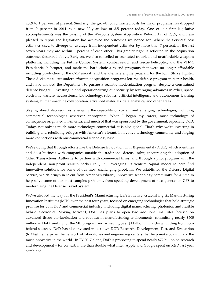2009 to 1 per year at present. Similarly, the growth of contracted costs for major programs has dropped from 9 percent in 2011 to a new 30-year low of 3.5 percent today. One of our first legislative accomplishments was the passing of the Weapons System Acquisition Reform Act of 2009, and I am pleased to report the legislation has achieved the outcomes we hoped for. Where the Services' cost estimates used to diverge on average from independent estimates by more than 7 percent, in the last seven years they are within 3 percent of each other. This greater rigor is reflected in the acquisition outcomes described above. Early on, we also cancelled or truncated troubled and unaffordable weapons platforms, including the Future Combat System, combat search and rescue helicopter, and the VH-71 Presidential helicopter, and made the hard choices to end programs that were no longer affordable including production of the C-17 aircraft and the alternate engine program for the Joint Strike Fighter. These decisions to cut underperforming acquisition programs left the defense program in better health, and have allowed the Department to pursue a realistic modernization program despite a constrained defense budget – investing in and operationalizing our security by leveraging advances in cyber, space, electronic warfare, neuroscience, biotechnology, robotics, artificial intelligence and autonomous learning systems, human-machine collaboration, advanced materials, data analytics, and other areas.

Staying ahead also requires leveraging the capability of current and emerging technologies, including commercial technologies wherever appropriate. When I began my career, most technology of consequence originated in America, and much of that was sponsored by the government, especially DoD. Today, not only is much more technology commercial, it is also global. That's why we're investing in building and rebuilding bridges with America's vibrant, innovative technology community and forging more connections with our commercial technology base.

We're doing that through efforts like the Defense Innovation Unit Experimental (DIUx), which identifies and does business with companies outside the traditional defense orbit; encouraging the adoption of Other Transactions Authority to partner with commercial firms; and through a pilot program with the independent, non-profit startup backer In-Q-Tel, leveraging its venture capital model to help find innovative solutions for some of our most challenging problems. We established the Defense Digital Service, which brings in talent from America's vibrant, innovative technology community for a time to help solve some of our most complex problems, from speeding development of next-generation GPS to modernizing the Defense Travel System.

We've also led the way for the President's Manufacturing USA initiative, establishing six Manufacturing Innovation Institutes (MIIs) over the past four years, focused on emerging technologies that hold strategic promise for both DoD and commercial industry, including digital manufacturing, photonics, and flexible hybrid electronics. Moving forward, DoD has plans to open two additional institutes focused on advanced tissue bio-fabrication and robotics in manufacturing environments, committing nearly \$500 million in DoD funding for the MII program and achieving over \$1 billion in matching funding from nonfederal sources. DoD has also invested in our own DOD Research, Development, Test, and Evaluation (RDT&E) enterprise, the network of laboratories and engineering centers that help make our military the most innovative in the world. In FY 2017 alone, DoD is proposing to spend nearly \$72 billion on research and development – for context, more than double what Intel, Apple and Google spent on R&D last year combined.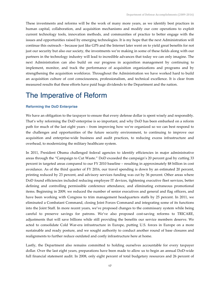These investments and reforms will be the work of many more years, as we identify best practices in human capital, collaboration, and acquisition mechanisms and modify our core operations to exploit current technology tools, innovation methods, and communities of practice to better engage with the issues and opportunities raised by emerging technologies. It is my hope that the next Administration will continue this outreach – because just like GPS and the Internet later went on to yield great benefits for not just our security but also our society, the investments we're making in some of these fields along with our partners in the technology industry will lead to incredible advances that today we can only imagine. The next Administration can also build on our progress in acquisition management by continuing to implement, monitor, and track the performance of acquisition organizations and programs and by strengthening the acquisition workforce. Throughout the Administration we have worked hard to build an acquisition culture of cost consciousness, professionalism, and technical excellence. It is clear from measured results that these efforts have paid huge dividends to the Department and the nation.

### The Imperative of Reform

#### **Reforming the DoD Enterprise**

We have an obligation to the taxpayer to ensure that every defense dollar is spent wisely and responsibly. That's why reforming the DoD enterprise is so important, and why DoD has been embarked on a reform path for much of the last eight years – from improving how we're organized so we can best respond to the challenges and opportunities of the future security environment, to continuing to improve our acquisition and enterprise-wide business and audit practices, to reducing excess infrastructure and overhead, to modernizing the military healthcare system.

In 2011, President Obama challenged federal agencies to identify efficiencies in major administrative areas through the "Campaign to Cut Waste." DoD exceeded the campaign's 20 percent goal by cutting 33 percent in targeted areas compared to our FY 2010 baseline – resulting in approximately \$8 billion in cost avoidance. As of the third quarter of FY 2016, our travel spending is down by an estimated 20 percent, printing reduced by 23 percent, and advisory services funding was cut by 36 percent. Other areas where DoD found efficiencies included reducing employee IT devices, tightening executive fleet services, better defining and controlling permissible conference attendance, and eliminating extraneous promotional items. Beginning in 2009, we reduced the number of senior executives and general and flag officers, and have been working with Congress to trim management headquarters staffs by 25 percent. In 2011, we eliminated a Combatant Command, closing Joint Forces Command and integrating some of its functions into the Joint Staff. In more recent years, we've proposed changes to the commissary system while being careful to preserve savings for patrons. We've also proposed cost-saving reforms to TRICARE, adjustments that will save billions while still providing the benefits our service members deserve. We acted to consolidate Cold War-era infrastructure in Europe, putting U.S. forces in Europe on a more sustainable and ready posture, and we sought authority to conduct another round of base closures and realignments to further reduce outdated and costly infrastructure here at home.

Lastly, the Department also remains committed to holding ourselves accountable for every taxpayer dollar. Over the last eight years, preparations have been made to allow us to begin an annual DoD-wide full financial statement audit. In 2008, only eight percent of total budgetary resources and 26 percent of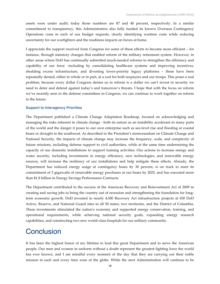assets were under audit; today those numbers are 87 and 40 percent, respectively. In a similar commitment to transparency, this Administration also fully funded its known Overseas Contingency Operations costs in each of our budget requests, clearly identifying wartime costs while reducing uncertainty for our warfighters and the readiness impacts on forces at home.

I appreciate the support received from Congress for some of these efforts to become more efficient – for instance, through statutory changes that enabled reform of the military retirement system. However, in other areas where DoD has continually submitted much-needed reforms to strengthen the efficiency and capability of our force –including by consolidating healthcare systems and improving incentives, shedding excess infrastructure, and divesting lower-priority legacy platforms – these have been repeatedly denied, either in whole or in part, at a cost for both taxpayers and our troops. This poses a real problem, because every dollar Congress denies us in reform is a dollar we can't invest in security we need to deter and defend against today's and tomorrow's threats. I hope that with the focus on reform we've recently seen in the defense committees in Congress, we can continue to work together on reform in the future.

#### **Support to Interagency Priorities**

The Department published a Climate Change Adaptation Roadmap, focused on acknowledging and managing the risks inherent in climate change - both its nature as an instability accelerant in many parts of the world and the danger it poses to our own enterprise such as sea-level rise and flooding at coastal bases or drought in the southwest. As described in the President's memorandum on Climate Change and National Security, the impacts of climate change may increase the frequency, scale, and complexity of future missions, including defense support to civil authorities, while at the same time undermining the capacity of our domestic installations to support training activities. Our actions to increase energy and water security, including investments in energy efficiency, new technologies, and renewable energy sources, will increase the resiliency of our installations and help mitigate these effects. Already, the Department has reduced energy usage at contingency bases by 30 percent, is on track to meet its commitment of 3 gigawatts of renewable energy purchases at our bases by 2025, and has executed more than \$1.8 billion in Energy Savings Performance Contracts.

The Department contributed to the success of the American Recovery and Reinvestment Act of 2009 in creating and saving jobs to bring the country out of recession and strengthening the foundation for longterm economic growth. DoD invested in nearly 4,500 Recovery Act infrastructure projects at 650 DoD Active, Reserve, and National Guard sites in all 50 states, two territories, and the District of Columbia. These investments stimulated the nation's economy and supported energy conservation, training, and operational requirements, while achieving national security goals, expanding energy research capabilities, and constructing two new world-class hospitals for our military community.

### **Conclusion**

It has been the highest honor of my lifetime to lead this great Department and to serve the American people. Our men and women in uniform without a doubt represent the greatest fighting force the world has ever known, and I am mindful every moment of the day that they are carrying out their noble mission in each and every time zone of the globe. While the next Administration will continue to be